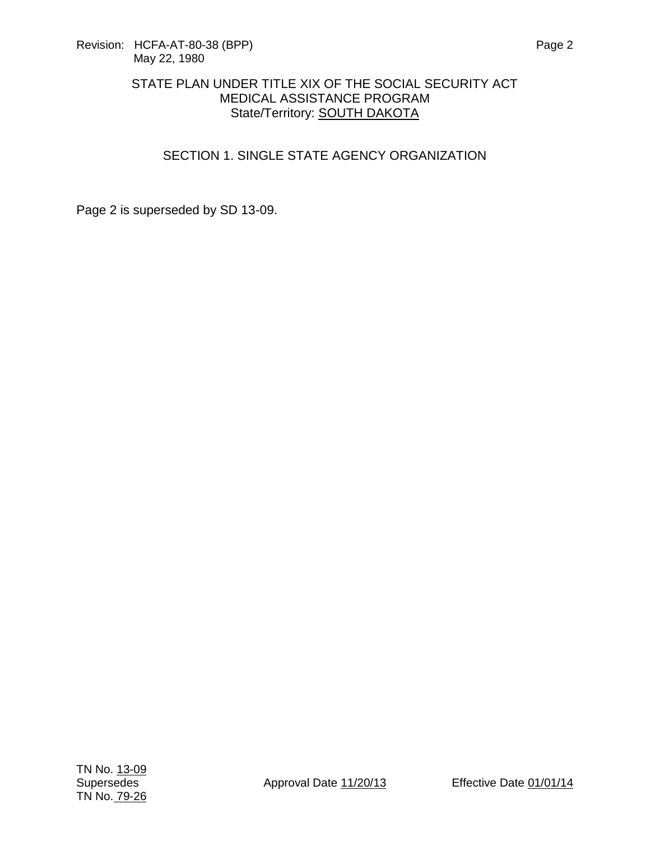## SECTION 1. SINGLE STATE AGENCY ORGANIZATION

Page 2 is superseded by SD 13-09.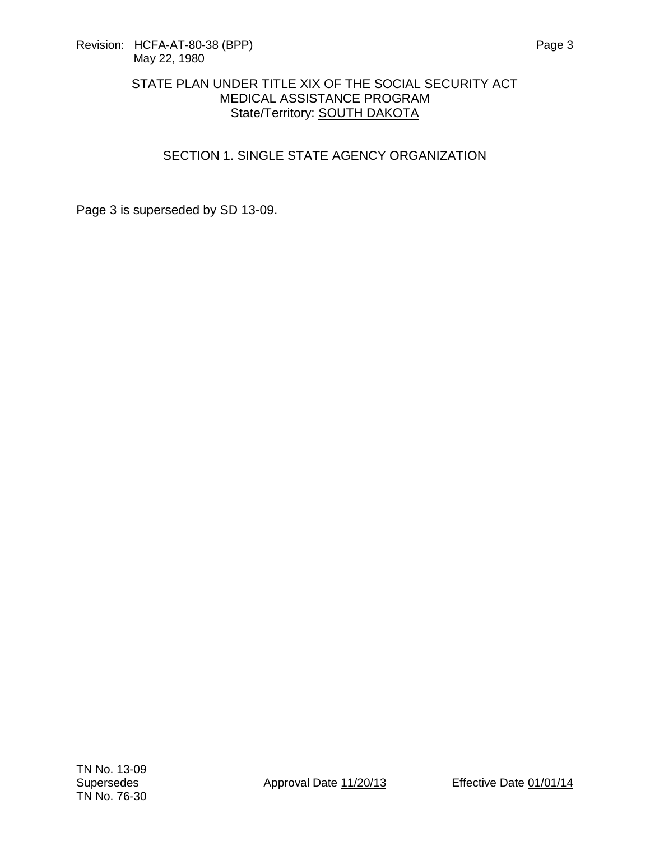## SECTION 1. SINGLE STATE AGENCY ORGANIZATION

Page 3 is superseded by SD 13-09.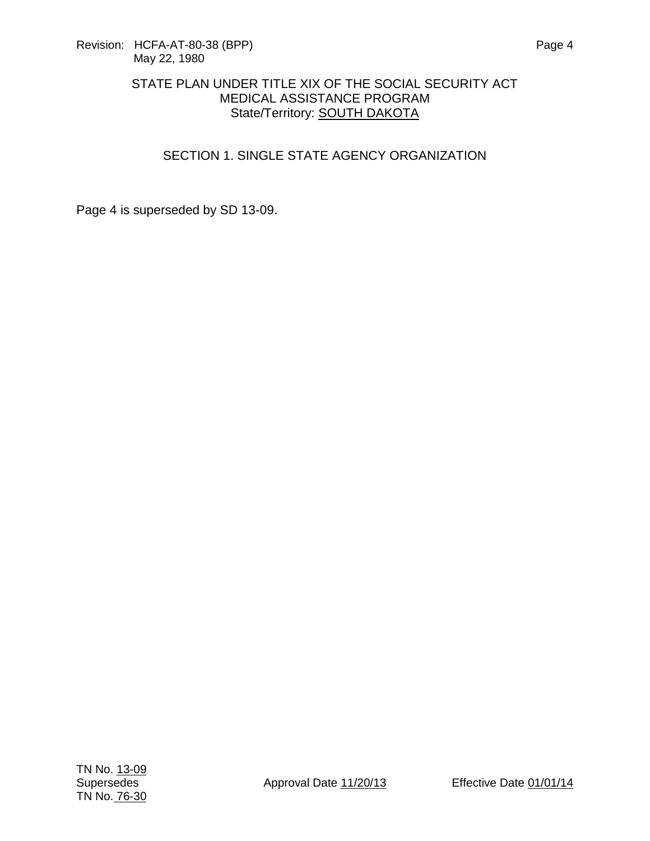# SECTION 1. SINGLE STATE AGENCY ORGANIZATION

Page 4 is superseded by SD 13-09.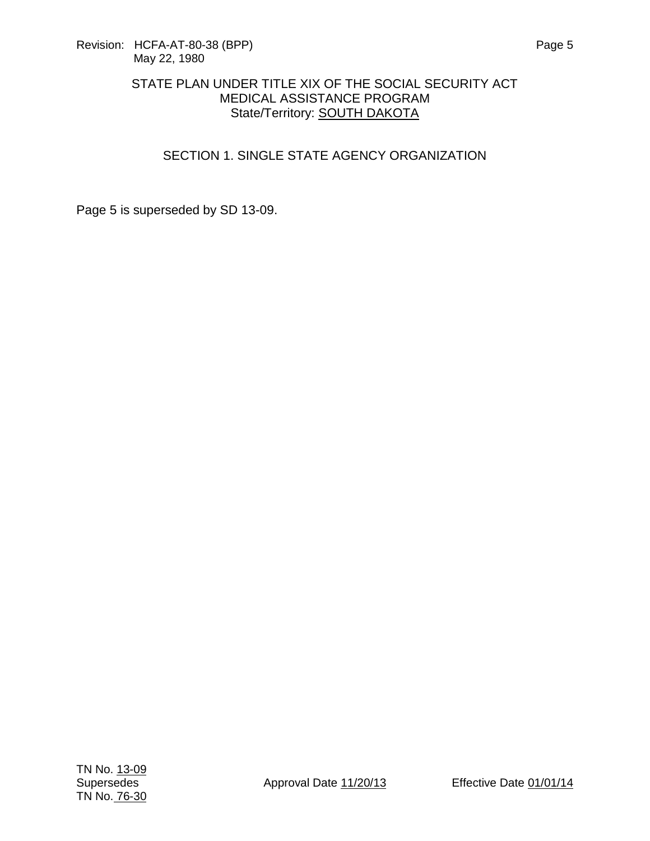## SECTION 1. SINGLE STATE AGENCY ORGANIZATION

Page 5 is superseded by SD 13-09.